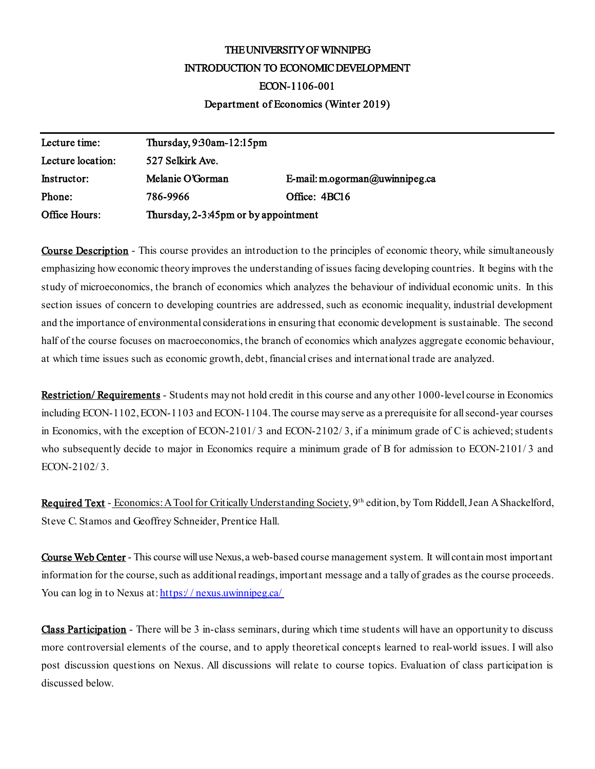# THE UNIVERSITY OF WINNIPEG INTRODUCTION TO ECONOMIC DEVELOPMENT ECON-1106-001 Department of Economics (Winter 2019)

| Lecture time:     | Thursday, $9:30$ am- $12:15$ pm      |                                |
|-------------------|--------------------------------------|--------------------------------|
| Lecture location: | 527 Selkirk Ave.                     |                                |
| Instructor:       | Melanie O'Gorman                     | E-mail: m.ogorman@uwinnipeg.ca |
| Phone:            | 786-9966                             | Office: 4BC16                  |
| Office Hours:     | Thursday, 2-3:45pm or by appointment |                                |

**Course Description** - This course provides an introduction to the principles of economic theory, while simultaneously emphasizing how economic theory improves the understanding of issues facing developing countries. It begins with the study of microeconomics, the branch of economics which analyzes the behaviour of individual economic units. In this section issues of concern to developing countries are addressed, such as economic inequality, industrial development and the importance of environmental considerations in ensuring that economic development is sustainable. The second half of the course focuses on macroeconomics, the branch of economics which analyzes aggregate economic behaviour, at which time issues such as economic growth, debt, financial crises and international trade are analyzed.

Restriction/ Requirements - Students may not hold credit in this course and any other 1000-level course in Economics including ECON-1102, ECON-1103 and ECON-1104. The course may serve as a prerequisite for all second-year courses in Economics, with the exception of ECON-2101/3 and ECON-2102/3, if a minimum grade of C is achieved; students who subsequently decide to major in Economics require a minimum grade of B for admission to ECON-2101/ 3 and ECON-2102/ 3.

Required Text - Economics: A Tool for Critically Understanding Society, 9<sup>th</sup> edition, by Tom Riddell, Jean A Shackelford, Steve C. Stamos and Geoffrey Schneider, Prentice Hall.

Course Web Center - This course will use Nexus, a web-based course management system. It will contain most important information for the course, such as additional readings, important message and a tally of grades as the course proceeds. You can log in to Nexus at: https://nexus.uwinnipeg.ca/

Class Participation - There will be 3 in-class seminars, during which time students will have an opportunity to discuss more controversial elements of the course, and to apply theoretical concepts learned to real-world issues. I will also post discussion questions on Nexus. All discussions will relate to course topics. Evaluation of class participation is discussed below.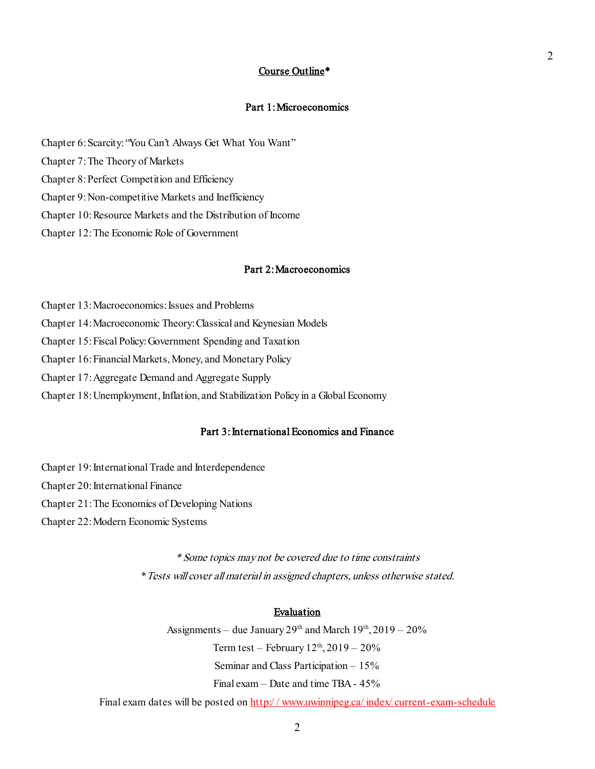# Course Outline\*

# Part 1: Microeconomics

- Chapter 6: Scarcity: "You Can't Always Get What You Want"
- Chapter 7: The Theory of Markets
- Chapter 8: Perfect Competition and Efficiency
- Chapter 9: Non-competitive Markets and Inefficiency
- Chapter 10: Resource Markets and the Distribution of Income
- Chapter 12: The Economic Role of Government

## Part 2: Macroeconomics

- Chapter 13: Macroeconomics: Issues and Problems
- Chapter 14: Macroeconomic Theory: Classical and Keynesian Models
- Chapter 15: Fiscal Policy: Government Spending and Taxation
- Chapter 16: Financial Markets, Money, and Monetary Policy
- Chapter 17: Aggregate Demand and Aggregate Supply
- Chapter 18: Unemployment, Inflation, and Stabilization Policy in a Global Economy

#### Part 3: International Economics and Finance

- Chapter 19: International Trade and Interdependence
- Chapter 20: International Finance
- Chapter 21: The Economics of Developing Nations
- Chapter 22: Modern Economic Systems

\* Some topics may not be covered due to time constraints \*Tests will cover all material in assigned chapters, unless otherwise stated.

## Evaluation

Assignments – due January  $29<sup>th</sup>$  and March  $19<sup>th</sup>$ ,  $2019 - 20\%$ Term test – February  $12<sup>th</sup>$ ,  $2019 - 20\%$ Seminar and Class Participation – 15% Final exam – Date and time TBA- 45%

Final exam dates will be posted on http://www.uwinnipeg.ca/index/current-exam-schedule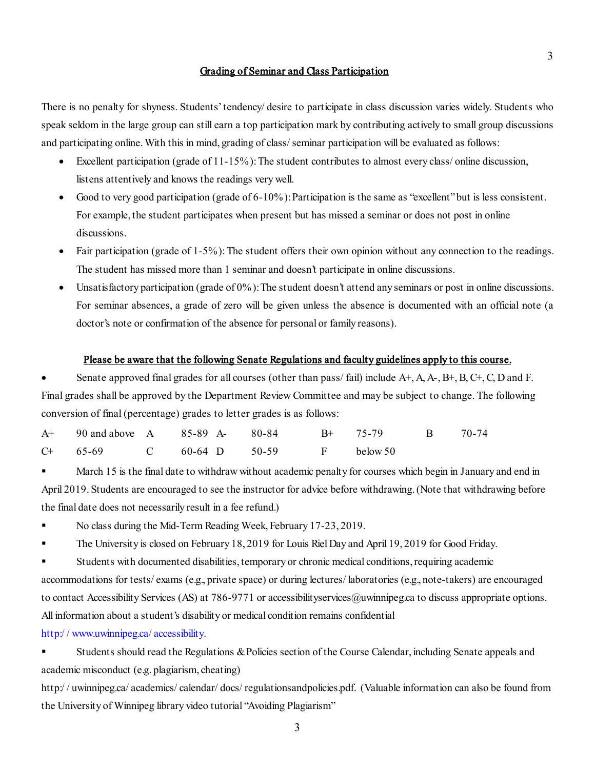# Grading of Seminar and Class Participation

There is no penalty for shyness. Students' tendency/ desire to participate in class discussion varies widely. Students who speak seldom in the large group can still earn a top participation mark by contributing actively to small group discussions and participating online. With this in mind, grading of class/ seminar participation will be evaluated as follows:

- Excellent participation (grade of 11-15%): The student contributes to almost every class/ online discussion, listens attentively and knows the readings very well.
- Good to very good participation (grade of 6-10%): Participation is the same as "excellent" but is less consistent. For example, the student participates when present but has missed a seminar or does not post in online discussions.
- Fair participation (grade of 1-5%): The student offers their own opinion without any connection to the readings. The student has missed more than 1 seminar and doesn't participate in online discussions.
- Unsatisfactory participation (grade of 0%): The student doesn't attend any seminars or post in online discussions. For seminar absences, a grade of zero will be given unless the absence is documented with an official note (a doctor's note or confirmation of the absence for personal or family reasons).

## Please be aware that the following Senate Regulations and faculty guidelines apply to this course.

• Senate approved final grades for all courses (other than pass/ fail) include A+, A, A-, B+, B, C+, C, D and F. Final grades shall be approved by the Department Review Committee and may be subject to change. The following conversion of final (percentage) grades to letter grades is as follows:

|  | A+ 90 and above A 85-89 A- 80-84 B+ 75-79 B 70-74 |  |  |  |
|--|---------------------------------------------------|--|--|--|
|  | $C+$ 65-69 C 60-64 D 50-59 F below 50             |  |  |  |

 March 15 is the final date to withdraw without academic penalty for courses which begin in January and end in April 2019. Students are encouraged to see the instructor for advice before withdrawing. (Note that withdrawing before the final date does not necessarily result in a fee refund.)

- No class during the Mid-Term Reading Week, February 17-23, 2019.
- The University is closed on February 18, 2019 for Louis Riel Day and April 19, 2019 for Good Friday.

 Students with documented disabilities, temporary or chronic medical conditions, requiring academic accommodations for tests/ exams (e.g., private space) or during lectures/ laboratories (e.g., note-takers) are encouraged to contact Accessibility Services (AS) at 786-9771 or accessibilityservices@uwinnipeg.ca to discuss appropriate options. All information about a student's disability or medical condition remains confidential

[http:/ / www.uwinnipeg.ca/ accessibility.](http://www.uwinnipeg.ca/accessibility)

 Students should read the Regulations & Policies section of the Course Calendar, including Senate appeals and academic misconduct (e.g. plagiarism, cheating)

http://uwinnipeg.ca/academics/calendar/docs/regulationsandpolicies.pdf. (Valuable information can also be found from the University of Winnipeg library video tutorial "Avoiding Plagiarism"

3